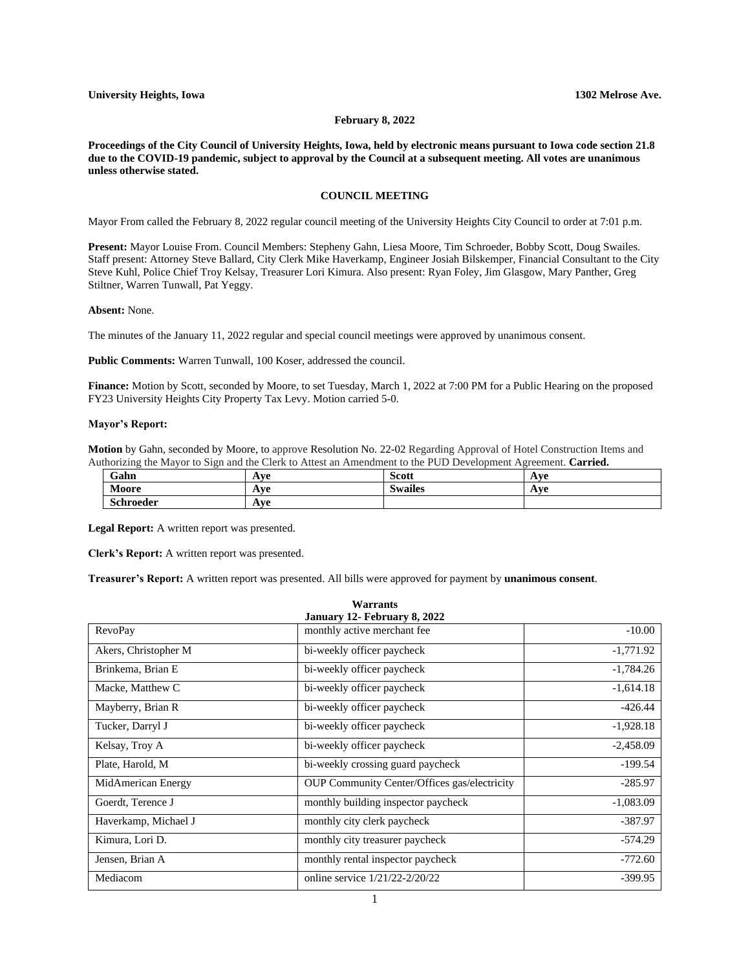#### **February 8, 2022**

**Proceedings of the City Council of University Heights, Iowa, held by electronic means pursuant to Iowa code section 21.8 due to the COVID-19 pandemic, subject to approval by the Council at a subsequent meeting. All votes are unanimous unless otherwise stated.**

# **COUNCIL MEETING**

Mayor From called the February 8, 2022 regular council meeting of the University Heights City Council to order at 7:01 p.m.

**Present:** Mayor Louise From. Council Members: Stepheny Gahn, Liesa Moore, Tim Schroeder, Bobby Scott, Doug Swailes. Staff present: Attorney Steve Ballard, City Clerk Mike Haverkamp, Engineer Josiah Bilskemper, Financial Consultant to the City Steve Kuhl, Police Chief Troy Kelsay, Treasurer Lori Kimura. Also present: Ryan Foley, Jim Glasgow, Mary Panther, Greg Stiltner, Warren Tunwall, Pat Yeggy.

## **Absent:** None.

The minutes of the January 11, 2022 regular and special council meetings were approved by unanimous consent.

#### **Public Comments:** Warren Tunwall, 100 Koser, addressed the council.

**Finance:** Motion by Scott, seconded by Moore, to set Tuesday, March 1, 2022 at 7:00 PM for a Public Hearing on the proposed FY23 University Heights City Property Tax Levy. Motion carried 5-0.

## **Mayor's Report:**

**Motion** by Gahn, seconded by Moore, to approve Resolution No. 22-02 Regarding Approval of Hotel Construction Items and Authorizing the Mayor to Sign and the Clerk to Attest an Amendment to the PUD Development Agreement. **Carried.**

| Gahn             | $\mathbf{V}$<br>. .               | Scott              | Ave |
|------------------|-----------------------------------|--------------------|-----|
| Moore            | $\mathbf{A}$ via<br>. .           | $\cdot$<br>swailes | Ave |
| <b>Schroeder</b> | $\mathbf{V}$<br>л<br>$\mathbf{r}$ |                    |     |

**Legal Report:** A written report was presented.

**Clerk's Report:** A written report was presented.

**Treasurer's Report:** A written report was presented. All bills were approved for payment by **unanimous consent**.

| <b>Warrants</b><br>January 12- February 8, 2022 |                                                     |             |  |
|-------------------------------------------------|-----------------------------------------------------|-------------|--|
| RevoPay                                         | monthly active merchant fee                         | $-10.00$    |  |
| Akers, Christopher M                            | bi-weekly officer paycheck                          | $-1,771.92$ |  |
| Brinkema, Brian E                               | bi-weekly officer paycheck                          | $-1,784.26$ |  |
| Macke, Matthew C                                | bi-weekly officer paycheck                          | $-1,614.18$ |  |
| Mayberry, Brian R                               | bi-weekly officer paycheck                          | $-426.44$   |  |
| Tucker, Darryl J                                | bi-weekly officer paycheck                          | $-1,928.18$ |  |
| Kelsay, Troy A                                  | bi-weekly officer paycheck                          | $-2,458.09$ |  |
| Plate, Harold, M                                | bi-weekly crossing guard paycheck                   | $-199.54$   |  |
| MidAmerican Energy                              | <b>OUP Community Center/Offices gas/electricity</b> | $-285.97$   |  |
| Goerdt, Terence J                               | monthly building inspector paycheck                 | $-1,083.09$ |  |
| Haverkamp, Michael J                            | monthly city clerk paycheck                         | $-387.97$   |  |
| Kimura, Lori D.                                 | monthly city treasurer paycheck                     | $-574.29$   |  |
| Jensen, Brian A                                 | monthly rental inspector paycheck                   | $-772.60$   |  |
| Mediacom                                        | online service $1/21/22 - 2/20/22$                  | $-399.95$   |  |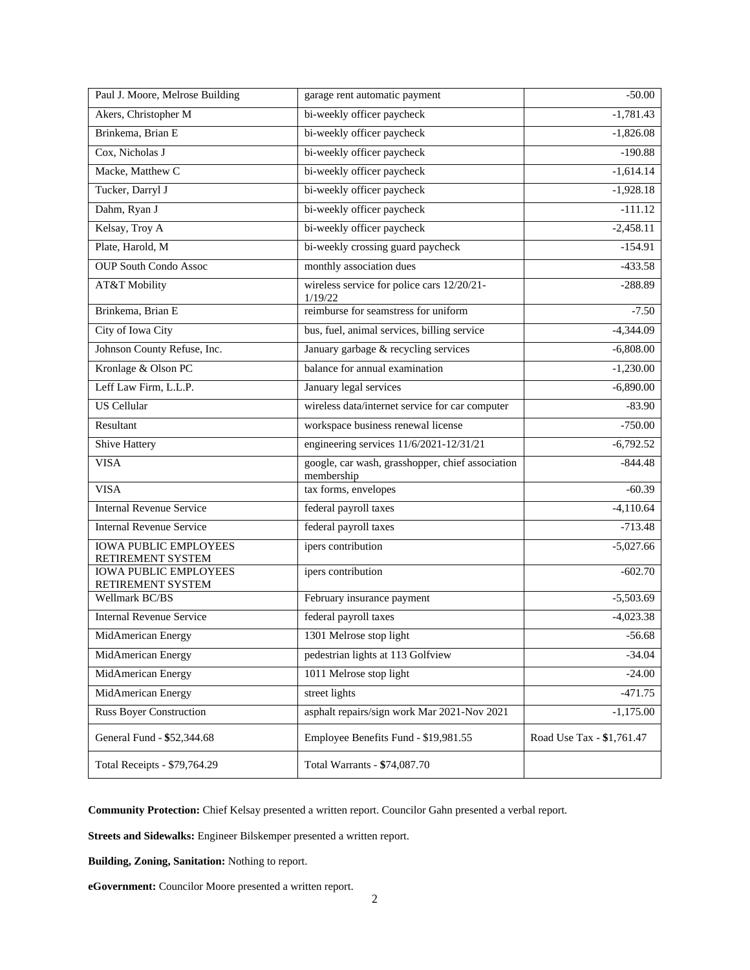| Paul J. Moore, Melrose Building                   | garage rent automatic payment                                  | $-50.00$                  |
|---------------------------------------------------|----------------------------------------------------------------|---------------------------|
| Akers, Christopher M                              | bi-weekly officer paycheck                                     | $-1,781.43$               |
| Brinkema, Brian E                                 | bi-weekly officer paycheck                                     | $-1,826.08$               |
| Cox, Nicholas J                                   | bi-weekly officer paycheck                                     | $-190.88$                 |
| Macke, Matthew C                                  | bi-weekly officer paycheck                                     | $-1,614.14$               |
| Tucker, Darryl J                                  | bi-weekly officer paycheck                                     | $-1,928.18$               |
| Dahm, Ryan J                                      | bi-weekly officer paycheck                                     | $-111.12$                 |
| Kelsay, Troy A                                    | bi-weekly officer paycheck                                     | $-2,458.11$               |
| Plate, Harold, M                                  | bi-weekly crossing guard paycheck                              | $-154.91$                 |
| <b>OUP South Condo Assoc</b>                      | monthly association dues                                       | $-433.58$                 |
| AT&T Mobility                                     | wireless service for police cars 12/20/21-<br>1/19/22          | $-288.89$                 |
| Brinkema, Brian E                                 | reimburse for seamstress for uniform                           | $-7.50$                   |
| City of Iowa City                                 | bus, fuel, animal services, billing service                    | $-4,344.09$               |
| Johnson County Refuse, Inc.                       | January garbage & recycling services                           | $-6,808.00$               |
| Kronlage & Olson PC                               | balance for annual examination                                 | $-1,230.00$               |
| Leff Law Firm, L.L.P.                             | January legal services                                         | $-6,890.00$               |
| <b>US</b> Cellular                                | wireless data/internet service for car computer                | $-83.90$                  |
| Resultant                                         | workspace business renewal license                             | $-750.00$                 |
| Shive Hattery                                     | engineering services 11/6/2021-12/31/21                        | $-6,792.52$               |
| <b>VISA</b>                                       | google, car wash, grasshopper, chief association<br>membership | $-844.48$                 |
| <b>VISA</b>                                       | tax forms, envelopes                                           | $-60.39$                  |
| <b>Internal Revenue Service</b>                   | federal payroll taxes                                          | $-4,110.64$               |
| <b>Internal Revenue Service</b>                   | federal payroll taxes                                          | $-713.48$                 |
| <b>IOWA PUBLIC EMPLOYEES</b><br>RETIREMENT SYSTEM | ipers contribution                                             | $-5,027.66$               |
| <b>IOWA PUBLIC EMPLOYEES</b><br>RETIREMENT SYSTEM | ipers contribution                                             | $-602.70$                 |
| Wellmark BC/BS                                    | February insurance payment                                     | $-5,503.69$               |
| <b>Internal Revenue Service</b>                   | federal payroll taxes                                          | $-4,023.38$               |
| MidAmerican Energy                                | 1301 Melrose stop light                                        | $-56.68$                  |
| MidAmerican Energy                                | pedestrian lights at 113 Golfview                              | $-34.04$                  |
| MidAmerican Energy                                | 1011 Melrose stop light                                        | $-24.00$                  |
| MidAmerican Energy                                | street lights                                                  | $-471.75$                 |
| <b>Russ Boyer Construction</b>                    | asphalt repairs/sign work Mar 2021-Nov 2021                    | $-1,175.00$               |
| General Fund - \$52,344.68                        | Employee Benefits Fund - \$19,981.55                           | Road Use Tax - \$1,761.47 |
| Total Receipts - \$79,764.29                      | Total Warrants - \$74,087.70                                   |                           |

**Community Protection:** Chief Kelsay presented a written report. Councilor Gahn presented a verbal report.

**Streets and Sidewalks:** Engineer Bilskemper presented a written report.

**Building, Zoning, Sanitation:** Nothing to report.

**eGovernment:** Councilor Moore presented a written report.